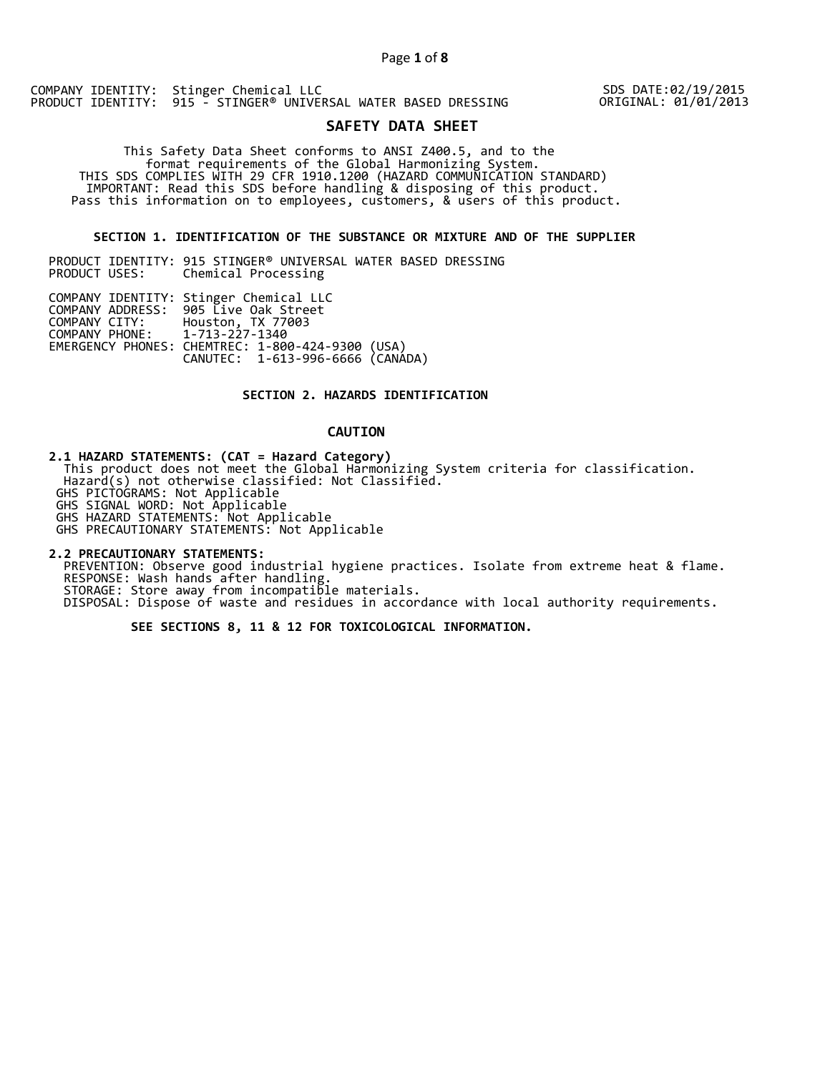## Page **1** of **8**

COMPANY IDENTITY: Stinger Chemical LLC PRODUCT IDENTITY: 915 - STINGER® UNIVERSAL WATER BASED DRESSING

SDS DATE:02/19/2015 ORIGINAL: 01/01/2013

# **SAFETY DATA SHEET**

 This Safety Data Sheet conforms to ANSI Z400.5, and to the format requirements of the Global Harmonizing System. THIS SDS COMPLIES WITH 29 CFR 1910.1200 (HAZARD COMMUNICATION STANDARD) IMPORTANT: Read this SDS before handling & disposing of this product. Pass this information on to employees, customers, & users of this product.

## **SECTION 1. IDENTIFICATION OF THE SUBSTANCE OR MIXTURE AND OF THE SUPPLIER**

PRODUCT IDENTITY: 915 STINGER<sup>®</sup> UNIVERSAL WATER BASED DRESSING<br>PRODUCT USES: Chemical Processing Chemical Processing

|                               | COMPANY IDENTITY: Stinger Chemical LLC           |  |
|-------------------------------|--------------------------------------------------|--|
|                               | COMPANY ADDRESS: 905 Live Oak Street             |  |
|                               | COMPANY CITY: Houston, TX 77003                  |  |
| COMPANY PHONE: 1-713-227-1340 |                                                  |  |
|                               | EMERGENCY PHONES: CHEMTREC: 1-800-424-9300 (USA) |  |
|                               | CANUTEC: 1-613-996-6666 (CANÁDA)                 |  |

## **SECTION 2. HAZARDS IDENTIFICATION**

# **CAUTION**

**2.1 HAZARD STATEMENTS: (CAT = Hazard Category)**

 This product does not meet the Global Harmonizing System criteria for classification. Hazard(s) not otherwise classified: Not Classified. GHS PICTOGRAMS: Not Applicable

GHS SIGNAL WORD: Not Applicable

GHS HAZARD STATEMENTS: Not Applicable

GHS PRECAUTIONARY STATEMENTS: Not Applicable

**2.2 PRECAUTIONARY STATEMENTS:**  PREVENTION: Observe good industrial hygiene practices. Isolate from extreme heat & flame. RESPONSE: Wash hands after handling. STORAGE: Store away from incompatible materials. DISPOSAL: Dispose of waste and residues in accordance with local authority requirements.

 **SEE SECTIONS 8, 11 & 12 FOR TOXICOLOGICAL INFORMATION.**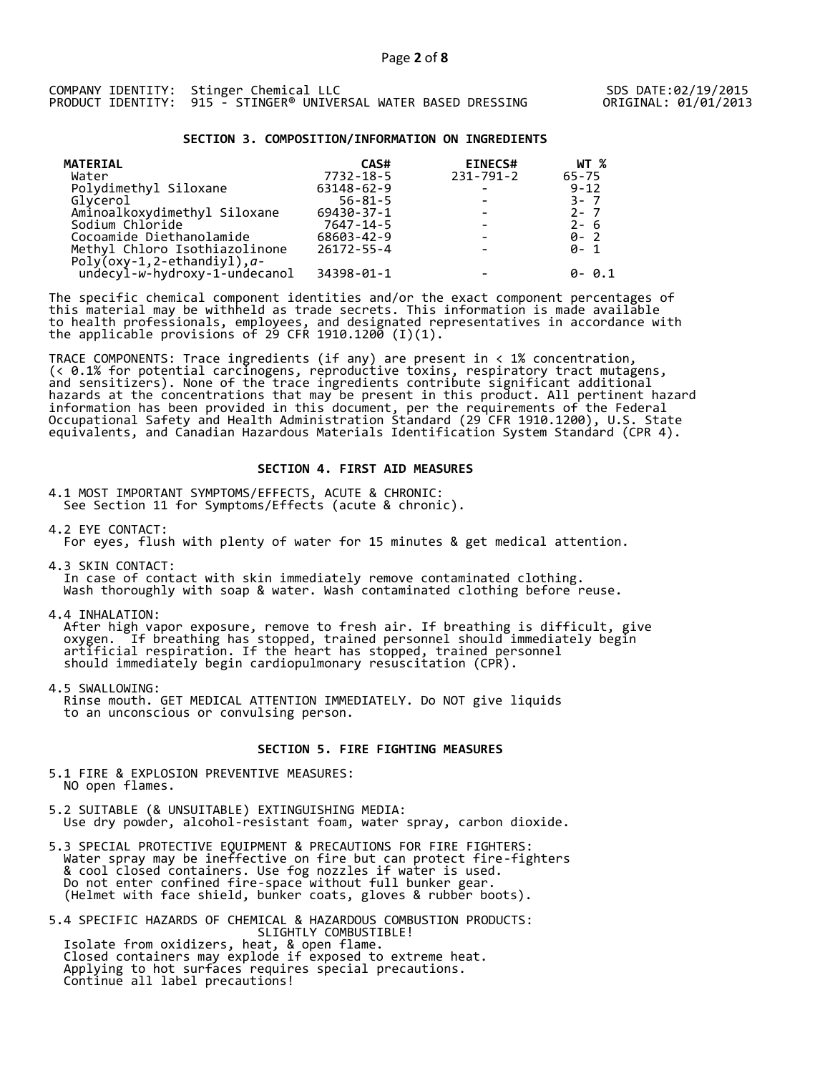|  | COMPANY IDENTITY: Stinger Chemical LLC                          |  |  |
|--|-----------------------------------------------------------------|--|--|
|  | PRODUCT IDENTITY: 915 - STINGER® UNIVERSAL WATER BASED DRESSING |  |  |

### **SECTION 3. COMPOSITION/INFORMATION ON INGREDIENTS**

| <b>MATERIAL</b>                | CAS#             | <b>EINECS#</b>  | WT %      |
|--------------------------------|------------------|-----------------|-----------|
| Water                          | $7732 - 18 - 5$  | $231 - 791 - 2$ | $65 - 75$ |
| Polydimethyl Siloxane          | 63148-62-9       |                 | $9 - 12$  |
| Glycerol                       | $56 - 81 - 5$    |                 | $3 - 7$   |
| Aminoalkoxydimethyl Siloxane   | 69430-37-1       |                 | $2 - 7$   |
| Sodium Chloride                | 7647-14-5        |                 | $2 - 6$   |
| Cocoamide Diethanolamide       | 68603-42-9       |                 | $0 - 2$   |
| Methyl Chloro Isothiazolinone  | $26172 - 55 - 4$ |                 | ด- 1      |
| $Poly(oxy-1, 2-ethandiyl), a-$ |                  |                 |           |
| undecyl-w-hydroxy-1-undecanol  | 34398-01-1       |                 | ด- ด.1    |

The specific chemical component identities and/or the exact component percentages of this material may be withheld as trade secrets. This information is made available to health professionals, employees, and designated representatives in accordance with the applicable provisions of 29 CFR 1910.1200̄ (I)(1).  $\overline{\phantom{a}}$ 

TRACE COMPONENTS: Trace ingredients (if any) are present in < 1% concentration, (< 0.1% for potential carcinogens, reproductive toxins, respiratory tract mutagens, and sensitizers). None of the trace ingredients contribute significant additional hazards at the concentrations that may be present in this product. All pertinent hazard information has been provided in this document, per the requirements of the Federal Occupational Safety and Health Administration Standard (29 CFR 1910.1200), U.S. State equivalents, and Canadian Hazardous Materials Identification System Standard (CPR 4).

#### **SECTION 4. FIRST AID MEASURES**

4.1 MOST IMPORTANT SYMPTOMS/EFFECTS, ACUTE & CHRONIC: See Section 11 for Symptoms/Effects (acute & chronic).

4.2 EYE CONTACT:

For eyes, flush with plenty of water for 15 minutes & get medical attention.

4.3 SKIN CONTACT: In case of contact with skin immediately remove contaminated clothing. Wash thoroughly with soap & water. Wash contaminated clothing before reuse.

4.4 INHALATION:

 After high vapor exposure, remove to fresh air. If breathing is difficult, give oxygen. If breathing has stopped, trained personnel should immediately begin artificial respiration. If the heart has stopped, trained personnel should immediately begin cardiopulmonary resuscitation (CPR).

4.5 SWALLOWING: Rinse mouth. GET MEDICAL ATTENTION IMMEDIATELY. Do NOT give liquids to an unconscious or convulsing person.

## **SECTION 5. FIRE FIGHTING MEASURES**

5.1 FIRE & EXPLOSION PREVENTIVE MEASURES: NO open flames.

- 5.2 SUITABLE (& UNSUITABLE) EXTINGUISHING MEDIA: Use dry powder, alcohol-resistant foam, water spray, carbon dioxide.
- 5.3 SPECIAL PROTECTIVE EQUIPMENT & PRECAUTIONS FOR FIRE FIGHTERS: Water spray may be ineffective on fire but can protect fire-fighters & cool closed containers. Use fog nozzles if water is used. Do not enter confined fire-space without full bunker gear. (Helmet with face shield, bunker coats, gloves & rubber boots).

5.4 SPECIFIC HAZARDS OF CHEMICAL & HAZARDOUS COMBUSTION PRODUCTS: SLIGHTLY COMBUSTIBLE! Isolate from oxidizers, heat, & open flame. Closed containers may explode if exposed to extreme heat. Applying to hot surfaces requires special precautions. Continue all label precautions!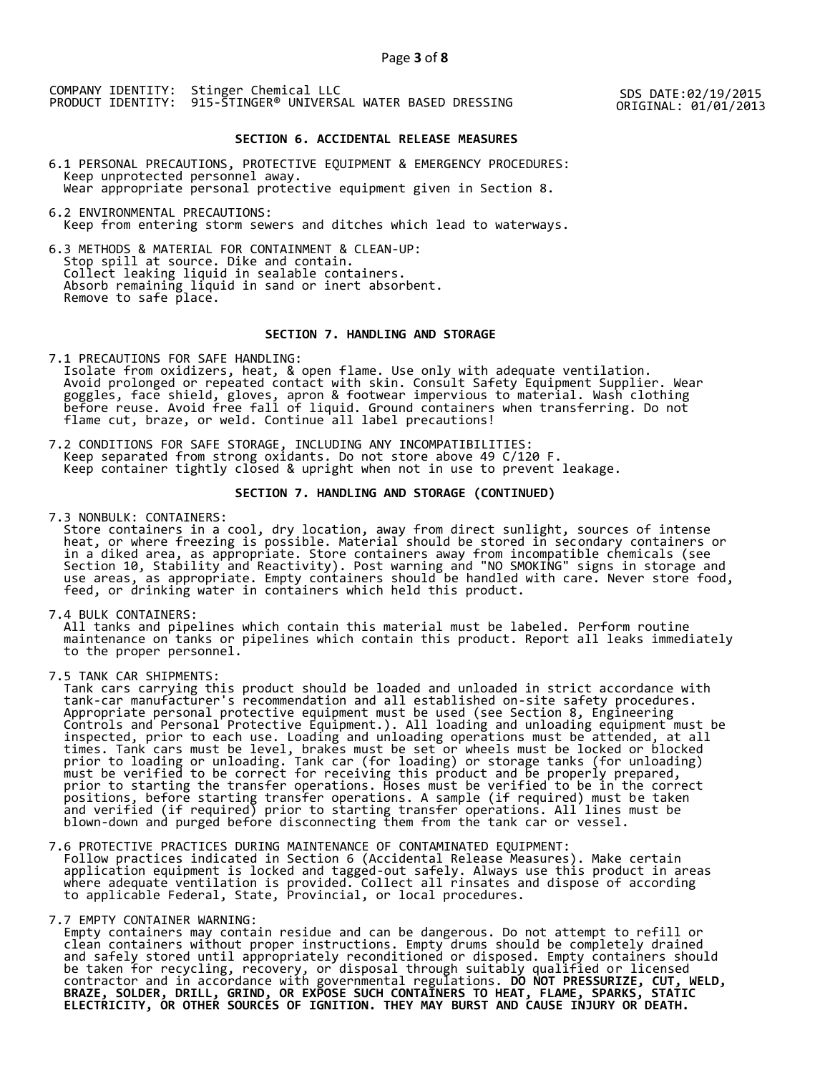COMPANY IDENTITY: Stinger Chemical LLC PRODUCT IDENTITY: 915-STINGER® UNIVERSAL WATER BASED DRESSING SDS DATE:02/19/2015

SDS DATE:02/19/2015<br>ORIGINAL: 01/01/2013

## **SECTION 6. ACCIDENTAL RELEASE MEASURES**

6.1 PERSONAL PRECAUTIONS, PROTECTIVE EQUIPMENT & EMERGENCY PROCEDURES: Keep unprotected personnel away. Wear appropriate personal protective equipment given in Section 8.

6.2 ENVIRONMENTAL PRECAUTIONS: Keep from entering storm sewers and ditches which lead to waterways.

6.3 METHODS & MATERIAL FOR CONTAINMENT & CLEAN-UP: Stop spill at source. Dike and contain. Collect leaking liquid in sealable containers. Absorb remaining liquid in sand or inert absorbent. Remove to safe place.

# **SECTION 7. HANDLING AND STORAGE**

7.1 PRECAUTIONS FOR SAFE HANDLING: Isolate from oxidizers, heat, & open flame. Use only with adequate ventilation. Avoid prolonged or repeated contact with skin. Consult Safety Equipment Supplier. Wear goggles, face shield, gloves, apron & footwear impervious to material. Wash clothing before reuse. Avoid free fall of liquid. Ground containers when transferring. Do not flame cut, braze, or weld. Continue all label precautions!

7.2 CONDITIONS FOR SAFE STORAGE, INCLUDING ANY INCOMPATIBILITIES: Keep separated from strong oxidants. Do not store above 49 C/120 F. Keep container tightly closed & upright when not in use to prevent leakage.

# **SECTION 7. HANDLING AND STORAGE (CONTINUED)**

7.3 NONBULK: CONTAINERS:

 Store containers in a cool, dry location, away from direct sunlight, sources of intense heat, or where freezing is possible. Material should be stored in secondary containers or in a diked area, as appropriate. Store containers away from incompatible chemicals (see Section 10, Stability and Reactivity). Post warning and "NO SMOKING" signs in storage and use areas, as appropriate. Empty containers should be handled with care. Never store food, feed, or drinking water in containers which held this product.

7.4 BULK CONTAINERS:

 All tanks and pipelines which contain this material must be labeled. Perform routine maintenance on tanks or pipelines which contain this product. Report all leaks immediately to the proper personnel.

7.5 TANK CAR SHIPMENTS:

 Tank cars carrying this product should be loaded and unloaded in strict accordance with tank-car manufacturer's recommendation and all established on-site safety procedures. Appropriate personal protective equipment must be used (see Section 8, Engineering Controls and Personal Protective Equipment.). All loading and unloading equipment must be inspected, prior to each use. Loading and unloading operations must be attended, at all times. Tank cars must be level, brakes must be set or wheels must be locked or blocked prior to loading or unloading. Tank car (for loading) or storage tanks (for unloading) must be verified to be correct for receiving this product and be properly prepared, prior to starting the transfer operations. Hoses must be verified to be in the correct positions, before starting transfer operations. A sample (if required) must be taken and verified (if required) prior to starting transfer operations. All lines must be blown-down and purged before disconnecting them from the tank car or vessel.

7.6 PROTECTIVE PRACTICES DURING MAINTENANCE OF CONTAMINATED EQUIPMENT:

 Follow practices indicated in Section 6 (Accidental Release Measures). Make certain application equipment is locked and tagged-out safely. Always use this product in areas where adequate ventilation is provided. Collect all rinsates and dispose of according to applicable Federal, State, Provincial, or local procedures.

7.7 EMPTY CONTAINER WARNING:

 Empty containers may contain residue and can be dangerous. Do not attempt to refill or clean containers without proper instructions. Empty drums should be completely drained and safely stored until appropriately reconditioned or disposed. Empty containers should be taken for recycling, recovery, or disposal through suitably qualified or licensed contractor and in accordance with governmental regulations. **DO NOT PRESSURIZE, CUT, WELD, BRAZE, SOLDER, DRILL, GRIND, OR EXPOSE SUCH CONTAINERS TO HEAT, FLAME, SPARKS, STATIC ELECTRICITY, OR OTHER SOURCES OF IGNITION. THEY MAY BURST AND CAUSE INJURY OR DEATH.**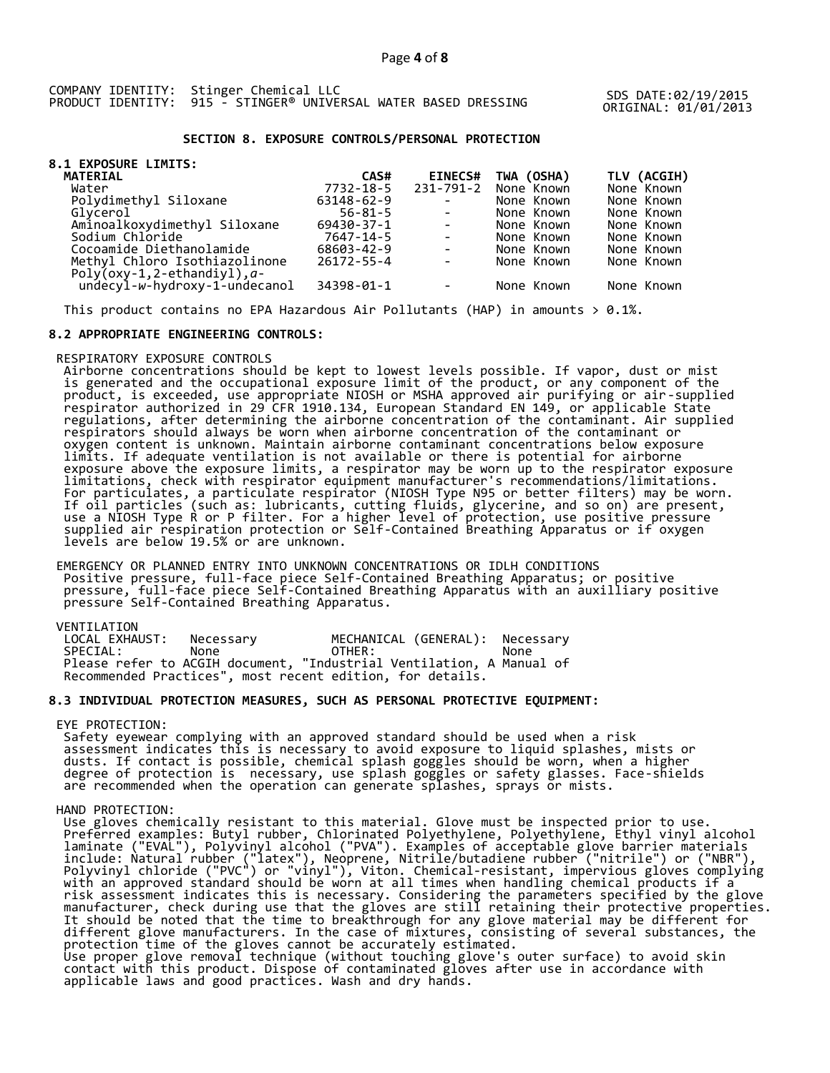COMPANY IDENTITY: Stinger Chemical LLC PRODUCT IDENTITY: 915 - STINGER® UNIVERSAL WATER BASED DRESSING SDS DATE:02/19/2015

ORIGINAL: 01/01/2013

## **SECTION 8. EXPOSURE CONTROLS/PERSONAL PROTECTION**

| <b>8.1 EXPOSURE LIMITS:</b>                                        |                  |                          |            |             |
|--------------------------------------------------------------------|------------------|--------------------------|------------|-------------|
| <b>MATERIAL</b>                                                    | CAS#             | <b>EINECS#</b>           | TWA (OSHA) | TLV (ACGIH) |
| Water                                                              | 7732-18-5        | 231-791-2                | None Known | None Known  |
| Polydimethyl Siloxane                                              | 63148-62-9       | $\sim$                   | None Known | None Known  |
| Glvcerol                                                           | $56 - 81 - 5$    | $\sim$                   | None Known | None Known  |
| Aminoalkoxydimethyl Siloxane                                       | 69430-37-1       | $\sim$                   | None Known | None Known  |
| Sodium Chloride                                                    | 7647-14-5        | $\blacksquare$           | None Known | None Known  |
| Cocoamide Diethanolamide                                           | 68603-42-9       | $\overline{\phantom{a}}$ | None Known | None Known  |
| Methyl Chloro Isothiazolinone<br>Poly( $oxy-1,2$ -ethandiyl), $a-$ | $26172 - 55 - 4$ | $\overline{\phantom{a}}$ | None Known | None Known  |
| undecyl-w-hydroxy-1-undecanol                                      | 34398-01-1       | $\overline{\phantom{a}}$ | None Known | None Known  |

This product contains no EPA Hazardous Air Pollutants (HAP) in amounts  $> 0.1\%$ .

# **8.2 APPROPRIATE ENGINEERING CONTROLS:**

### RESPIRATORY EXPOSURE CONTROLS

 Airborne concentrations should be kept to lowest levels possible. If vapor, dust or mist is generated and the occupational exposure limit of the product, or any component of the product, is exceeded, use appropriate NIOSH or MSHA approved air purifying or air-supplied respirator authorized in 29 CFR 1910.134, European Standard EN 149, or applicable State regulations, after determining the airborne concentration of the contaminant. Air supplied respirators should always be worn when airborne concentration of the contaminant or oxygen content is unknown. Maintain airborne contaminant concentrations below exposure limits. If adequate ventilation is not available or there is potential for airborne exposure above the exposure limits, a respirator may be worn up to the respirator exposure limitations, check with respirator equipment manufacturer's recommendations/limitations. For particulates, a particulate respirator (NIOSH Type N95 or better filters) may be worn. If oil particles (such as: lubricants, cutting fluids, glycerine, and so on) are present, use a NIOSH Type R or P filter. For a higher level of protection, use positive pressure supplied air respiration protection or Self-Contained Breathing Apparatus or if oxygen levels are below 19.5% or are unknown.

 EMERGENCY OR PLANNED ENTRY INTO UNKNOWN CONCENTRATIONS OR IDLH CONDITIONS Positive pressure, full-face piece Self-Contained Breathing Apparatus; or positive pressure, full-face piece Self-Contained Breathing Apparatus with an auxilliary positive pressure Self-Contained Breathing Apparatus.

#### VENTILATION

| LOCAL EXHAUST: | Necessarv                                                            | MECHANICAL (GENERAL): Necessary |      |  |
|----------------|----------------------------------------------------------------------|---------------------------------|------|--|
| SPECIAL:       | None                                                                 | OTHER:                          | None |  |
|                | Please refer to ACGIH document, "Industrial Ventilation, A Manual of |                                 |      |  |
|                | Recommended Practices", most recent edition, for details.            |                                 |      |  |

## **8.3 INDIVIDUAL PROTECTION MEASURES, SUCH AS PERSONAL PROTECTIVE EQUIPMENT:**

#### EYE PROTECTION:

 Safety eyewear complying with an approved standard should be used when a risk assessment indicates this is necessary to avoid exposure to liquid splashes, mists or dusts. If contact is possible, chemical splash goggles should be worn, when a higher degree of protection is necessary, use splash goggles or safety glasses. Face-shields are recommended when the operation can generate splashes, sprays or mists.

## HAND PROTECTION:

 Use gloves chemically resistant to this material. Glove must be inspected prior to use. Preferred examples: Butyl rubber, Chlorinated Polyethylene, Polyethylene, Ethyl vinyl alcohol laminate ("EVAL"), Polyvinyl alcohol ("PVA"). Examples of acceptable glove barrier materials include: Natural rubber ("latex"), Neoprene, Nitrile/butadiene rubber ("nitrile") or ("NBR"), Polyvinyl chloride ("PVC") or "vinyl"), Viton. Chemical-resistant, impervious gloves complying with an approved standard should be worn at all times when handling chemical products if a risk assessment indicates this is necessary. Considering the parameters specified by the glove manufacturer, check during use that the gloves are still retaining their protective properties. It should be noted that the time to breakthrough for any glove material may be different for different glove manufacturers. In the case of mixtures, consisting of several substances, the protection time of the gloves cannot be accurately estimated. Use proper glove removal technique (without touching glove's outer surface) to avoid skin contact with this product. Dispose of contaminated gloves after use in accordance with applicable laws and good practices. Wash and dry hands.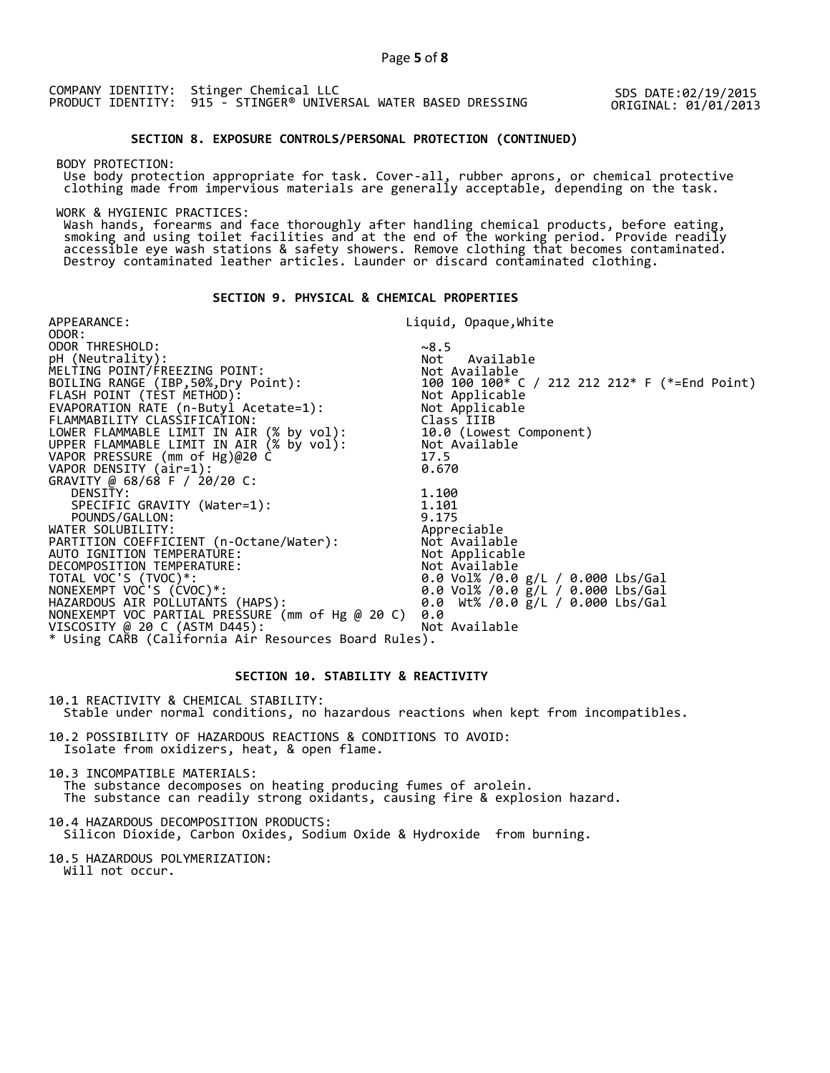COMPANY IDENTITY: Stinger Chemical LLC PRODUCT IDENTITY: 915 - STINGER® UNIVERSAL WATER BASED DRESSING

SDS DATE:02/19/2015 ORIGINAL: 01/01/2013

# **SECTION 8. EXPOSURE CONTROLS/PERSONAL PROTECTION (CONTINUED)**

BODY PROTECTION:

 Use body protection appropriate for task. Cover-all, rubber aprons, or chemical protective clothing made from impervious materials are generally acceptable, depending on the task.

WORK & HYGIENIC PRACTICES:

 Wash hands, forearms and face thoroughly after handling chemical products, before eating, smoking and using toilet facilities and at the end of the working period. Provide readily accessible eye wash stations & safety showers. Remove clothing that becomes contaminated. Destroy contaminated leather articles. Launder or discard contaminated clothing.

# **SECTION 9. PHYSICAL & CHEMICAL PROPERTIES**

| APPEARANCE:                                                                          | Liquid, Opaque,White                                                                 |
|--------------------------------------------------------------------------------------|--------------------------------------------------------------------------------------|
| ODOR:                                                                                |                                                                                      |
| ODOR THRESHOLD:                                                                      | ~8.5                                                                                 |
| pH (Neutrality):                                                                     | Not Available                                                                        |
| MELTING POINT/FREEZING POINT:                                                        |                                                                                      |
| BOILING RANGE (IBP,50%,Dry Point):                                                   |                                                                                      |
| FLASH POINT (TEST METHOD):                                                           | Not Available<br>100  100  100* C / 212  212  212* F (*=End Point)<br>Not Applicable |
| EVAPORATION RATE (n-Butyl Acetate=1):                                                | Not Applicable                                                                       |
| FLAMMABILITY CLASSIFICATION:                                                         | Class IIIB                                                                           |
|                                                                                      | 10.0 (Lowest Component)                                                              |
| LOWER FLAMMABLE LIMIT IN AIR (% by vol):<br>UPPER FLAMMABLE LIMIT IN AIR (% by vol): | Not Available                                                                        |
| VAPOR PRESSURE (mm of Hg)@20 C                                                       | 17.5                                                                                 |
| VAPOR DENSITY (air=1):                                                               | 0.670                                                                                |
| GRAVITY @ 68/68 F / 20/20 C:                                                         |                                                                                      |
| DENSITY:                                                                             | 1.100                                                                                |
| SPECIFIC GRAVITY (Water=1):                                                          | 1.101                                                                                |
| POUNDS/GALLON:                                                                       | 9.175                                                                                |
| WATER SOLUBILITY:                                                                    | Appreciable                                                                          |
| PARTITION COEFFICIENT (n-Octane/Water):             Not Available                    |                                                                                      |
| AUTO IGNITION TEMPERATURE:                                                           | Not Applicable                                                                       |
| DECOMPOSITION TEMPERATURE:                                                           | Not Available                                                                        |
| TOTAL VOC'S (TVOC)*:                                                                 | 0.0 Vol% /0.0 g/L / 0.000 Lbs/Gal                                                    |
| NONEXEMPT VOC'S (ĆVOC)*:                                                             | 0.0 Vol% /0.0 $\bar{g}/L$ / 0.000 Lbs/Gal                                            |
| HAZARDOUS AIR POLLUTAŃTS (HAPS):                                                     | 0.0 Wt% /0.0 g/L / 0.000 Lbs/Gal                                                     |
| NONEXEMPT VOC PARTIAL PRESSURE (mm of Hg @ 20 C)                                     | 0.0                                                                                  |
| VISCOSITY @ 20 C (ASTM D445):                                                        | Not Available                                                                        |
| * Using CARB (California Air Resources Board Rules).                                 |                                                                                      |

# **SECTION 10. STABILITY & REACTIVITY**

10.1 REACTIVITY & CHEMICAL STABILITY: Stable under normal conditions, no hazardous reactions when kept from incompatibles.

10.2 POSSIBILITY OF HAZARDOUS REACTIONS & CONDITIONS TO AVOID: Isolate from oxidizers, heat, & open flame.

10.3 INCOMPATIBLE MATERIALS:

 The substance decomposes on heating producing fumes of arolein. The substance can readily strong oxidants, causing fire & explosion hazard.

10.4 HAZARDOUS DECOMPOSITION PRODUCTS: Silicon Dioxide, Carbon Oxides, Sodium Oxide & Hydroxide from burning.

10.5 HAZARDOUS POLYMERIZATION: Will not occur.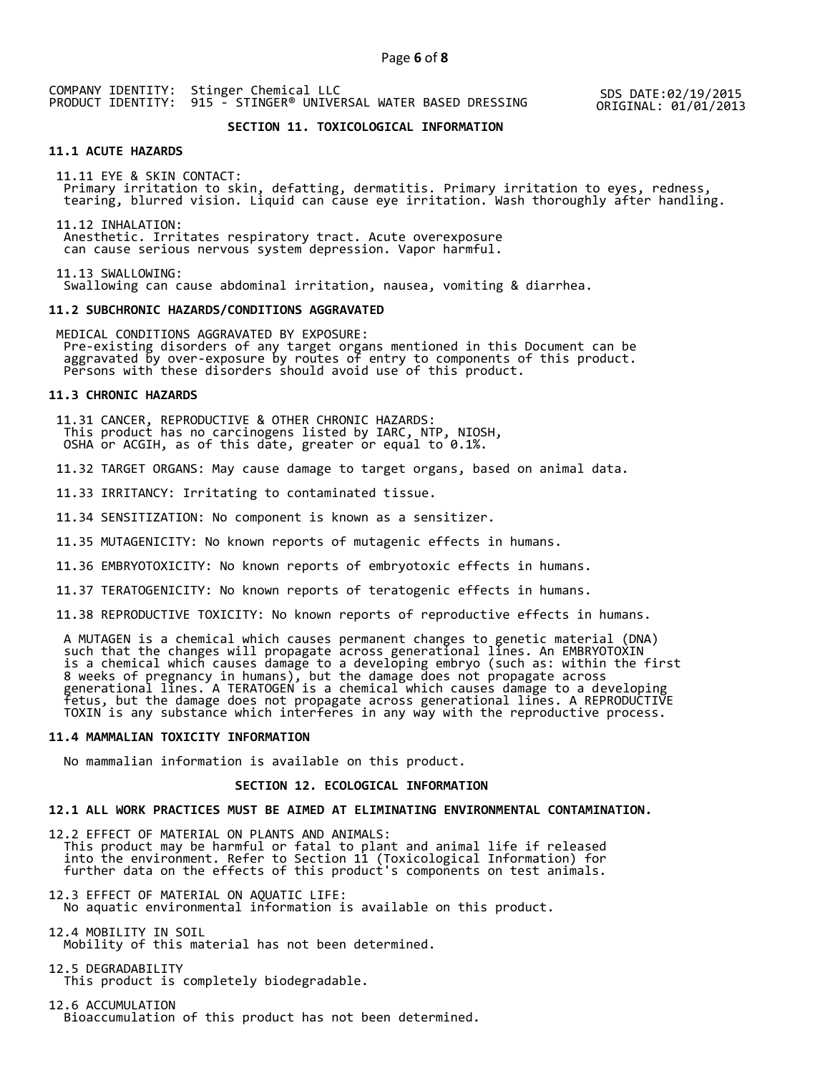COMPANY IDENTITY: Stinger Chemical LLC PRODUCT IDENTITY: 915 - STINGER® UNIVERSAL WATER BASED DRESSING SDS DATE:02/19/2015

ORIGINAL: 01/01/2013

# **SECTION 11. TOXICOLOGICAL INFORMATION**

#### **11.1 ACUTE HAZARDS**

 11.11 EYE & SKIN CONTACT: Primary irritation to skin, defatting, dermatitis. Primary irritation to eyes, redness, tearing, blurred vision. Liquid can cause eye irritation. Wash thoroughly after handling.

 11.12 INHALATION: Anesthetic. Irritates respiratory tract. Acute overexposure can cause serious nervous system depression. Vapor harmful.

 11.13 SWALLOWING: Swallowing can cause abdominal irritation, nausea, vomiting & diarrhea.

#### **11.2 SUBCHRONIC HAZARDS/CONDITIONS AGGRAVATED**

 MEDICAL CONDITIONS AGGRAVATED BY EXPOSURE: Pre-existing disorders of any target organs mentioned in this Document can be aggravated by over-exposure by routes of entry to components of this product. Persons with these disorders should avoid use of this product.

#### **11.3 CHRONIC HAZARDS**

 11.31 CANCER, REPRODUCTIVE & OTHER CHRONIC HAZARDS: This product has no carcinogens listed by IARC, NTP, NIOSH, OSHA or ACGIH, as of this date, greater or equal to 0.1%.

11.32 TARGET ORGANS: May cause damage to target organs, based on animal data.

11.33 IRRITANCY: Irritating to contaminated tissue.

11.34 SENSITIZATION: No component is known as a sensitizer.

11.35 MUTAGENICITY: No known reports of mutagenic effects in humans.

11.36 EMBRYOTOXICITY: No known reports of embryotoxic effects in humans.

11.37 TERATOGENICITY: No known reports of teratogenic effects in humans.

11.38 REPRODUCTIVE TOXICITY: No known reports of reproductive effects in humans.

 A MUTAGEN is a chemical which causes permanent changes to genetic material (DNA) such that the changes will propagate across generational lines. An EMBRYOTOXIN is a chemical which causes damage to a developing embryo (such as: within the first 8 weeks of pregnancy in humans), but the damage does not propagate across generational lines. A TERATOGEN is a chemical which causes damage to a developing fetus, but the damage does not propagate across generational lines. A REPRODUCTIVE TOXIN is any substance which interferes in any way with the reproductive process.

#### **11.4 MAMMALIAN TOXICITY INFORMATION**

No mammalian information is available on this product.

#### **SECTION 12. ECOLOGICAL INFORMATION**

#### **12.1 ALL WORK PRACTICES MUST BE AIMED AT ELIMINATING ENVIRONMENTAL CONTAMINATION.**

12.2 EFFECT OF MATERIAL ON PLANTS AND ANIMALS: This product may be harmful or fatal to plant and animal life if released into the environment. Refer to Section 11 (Toxicological Information) for further data on the effects of this product's components on test animals.

12.3 EFFECT OF MATERIAL ON AQUATIC LIFE: No aquatic environmental information is available on this product.

12.4 MOBILITY IN SOIL Mobility of this material has not been determined.

12.5 DEGRADABILITY This product is completely biodegradable.

12.6 ACCUMULATION Bioaccumulation of this product has not been determined.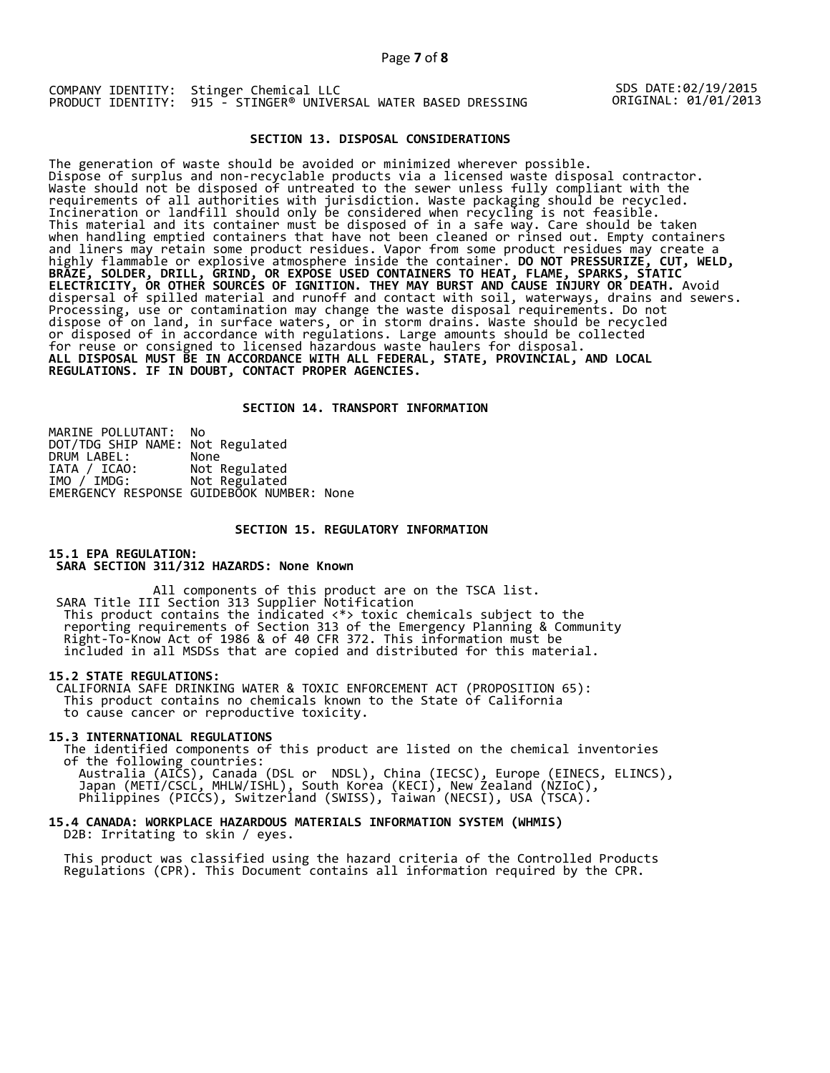Page **7** of **8**

COMPANY IDENTITY: Stinger Chemical LLC PRODUCT IDENTITY: 915 - STINGER® UNIVERSAL WATER BASED DRESSING

SDS DATE:02/19/2015 ORIGINAL: 01/01/2013

### **SECTION 13. DISPOSAL CONSIDERATIONS**

The generation of waste should be avoided or minimized wherever possible. Dispose of surplus and non-recyclable products via a licensed waste disposal contractor. Waste should not be disposed of untreated to the sewer unless fully compliant with the requirements of all authorities with jurisdiction. Waste packaging should be recycled. Incineration or landfill should only be considered when recycling is not feasible. This material and its container must be disposed of in a safe way. Care should be taken when handling emptied containers that have not been cleaned or rinsed out. Empty containers and liners may retain some product residues. Vapor from some product residues may create a highly flammable or explosive atmosphere inside the container. **DO NOT PRESSURIZE, CUT, WELD, BRAZE, SOLDER, DRILL, GRIND, OR EXPOSE USED CONTAINERS TO HEAT, FLAME, SPARKS, STATIC ELECTRICITY, OR OTHER SOURCES OF IGNITION. THEY MAY BURST AND CAUSE INJURY OR DEATH.** Avoid dispersal of spilled material and runoff and contact with soil, waterways, drains and sewers. Processing, use or contamination may change the waste disposal requirements. Do not dispose of on land, in surface waters, or in storm drains. Waste should be recycled or disposed of in accordance with regulations. Large amounts should be collected for reuse or consigned to licensed hazardous waste haulers for disposal. **ALL DISPOSAL MUST BE IN ACCORDANCE WITH ALL FEDERAL, STATE, PROVINCIAL, AND LOCAL REGULATIONS. IF IN DOUBT, CONTACT PROPER AGENCIES.** 

### **SECTION 14. TRANSPORT INFORMATION**

MARINE POLLUTANT: No DOT/TDG SHIP NAME: Not Regulated DRUM LABEL:<br>IATA / ICAO:<br>IMO / IMDG: Not Regulated Not Regulated EMERGENCY RESPONSE GUIDEBOOK NUMBER: None

### **SECTION 15. REGULATORY INFORMATION**

#### **15.1 EPA REGULATION: SARA SECTION 311/312 HAZARDS: None Known**

All components of this product are on the TSCA list. SARA Title III Section 313 Supplier Notification This product contains the indicated <\*> toxic chemicals subject to the reporting requirements of Section 313 of the Emergency Planning & Community Right-To-Know Act of 1986 & of 40 CFR 372. This information must be included in all MSDSs that are copied and distributed for this material.

### **15.2 STATE REGULATIONS:**

 CALIFORNIA SAFE DRINKING WATER & TOXIC ENFORCEMENT ACT (PROPOSITION 65): This product contains no chemicals known to the State of California to cause cancer or reproductive toxicity.

#### **15.3 INTERNATIONAL REGULATIONS**

 The identified components of this product are listed on the chemical inventories of the following countries:

 Australia (AICS), Canada (DSL or NDSL), China (IECSC), Europe (EINECS, ELINCS), Japan (METI/CSCL, MHLW/ISHL), South Korea (KECI), New Zealand (NZIoC), Philippines (PICCS), Switzerland (SWISS), Taiwan (NECSI), USA (TSCA).

## **15.4 CANADA: WORKPLACE HAZARDOUS MATERIALS INFORMATION SYSTEM (WHMIS)**  D2B: Irritating to skin / eyes.

 This product was classified using the hazard criteria of the Controlled Products Regulations (CPR). This Document contains all information required by the CPR.